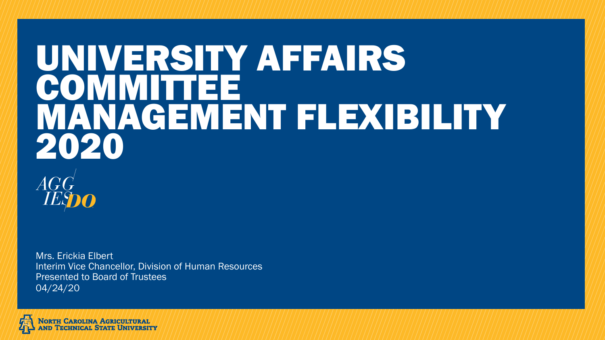# UNIVERSITY AFFAIRS **MILTEE** MANAGEMENT FLEXIBILITY 2020



Interim Vice Chancellor, Division of Human Resources Presented to Board of Trustees 04/24/20 Mrs. Erickia Elbert

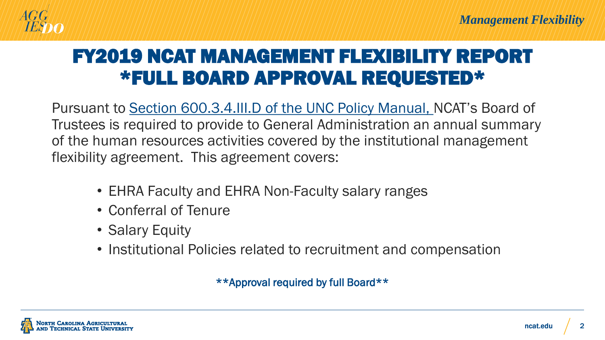

# FY2019 NCAT MANAGEMENT FLEXIBILITY REPORT \*FULL BOARD APPROVAL REQUESTED\*

Pursuant to [Section 600.3.4.III.D of the UNC Policy Manual,](http://www.northcarolina.edu/apps/policy/index.php?pg=vs&id=435&added=1) NCAT's Board of Trustees is required to provide to General Administration an annual summary of the human resources activities covered by the institutional management flexibility agreement. This agreement covers:

- EHRA Faculty and EHRA Non-Faculty salary ranges
- Conferral of Tenure
- Salary Equity
- Institutional Policies related to recruitment and compensation

\*\*Approval required by full Board\*\*

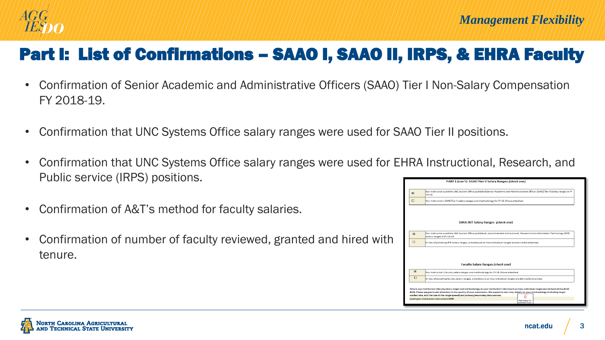

#### Part I: List of Confirmations – SAAO I, SAAO II, IRPS, & EHRA Faculty

- Confirmation of Senior Academic and Administrative Officers (SAAO) Tier I Non-Salary Compensation FY 2018-19.
- Confirmation that UNC Systems Office salary ranges were used for SAAO Tier II positions.
- Confirmation that UNC Systems Office salary ranges were used for EHRA Instructional, Research, and Public service (IRPS) positions.
- Confirmation of A&T's method for faculty salaries.
- Confirmation of number of faculty reviewed, granted and hired with tenure.

|                | Our institution used the UNC System Office published Senior Academic and Administrative Officer (SAAO) Tier II salary ranges in FY<br>18-19.              |  |  |  |  |
|----------------|-----------------------------------------------------------------------------------------------------------------------------------------------------------|--|--|--|--|
| $\Box$         | Our institution's SAAO Tier II salary ranges and methodology for FY 18-19 are attached.                                                                   |  |  |  |  |
|                |                                                                                                                                                           |  |  |  |  |
|                |                                                                                                                                                           |  |  |  |  |
|                | <b>EHRA IRIT Salary Ranges (check one)</b>                                                                                                                |  |  |  |  |
| 回              | Our institution used the UNC System Office published, recommended Institutional, Research and Information Technology (IRIT)<br>salary ranges in FY 18-19. |  |  |  |  |
| $\Box$         | In lieu of providing IRIT salary ranges, a disclosure on how individual ranges are derived is attached.                                                   |  |  |  |  |
|                |                                                                                                                                                           |  |  |  |  |
|                |                                                                                                                                                           |  |  |  |  |
|                |                                                                                                                                                           |  |  |  |  |
|                | <b>Faculty Salary Ranges (check one)</b>                                                                                                                  |  |  |  |  |
| $\blacksquare$ | Our institution's faculty salary ranges and methodology for FY 18-19 are attached.                                                                        |  |  |  |  |
| $\Box$         | In lieu of providing faculty salary ranges, a disclosure on how individual ranges are derived is attached.                                                |  |  |  |  |
|                | Attach your institution's faculty salary ranges and methodology or your institution's disclosure on how individual ranges are derived below (Cell         |  |  |  |  |

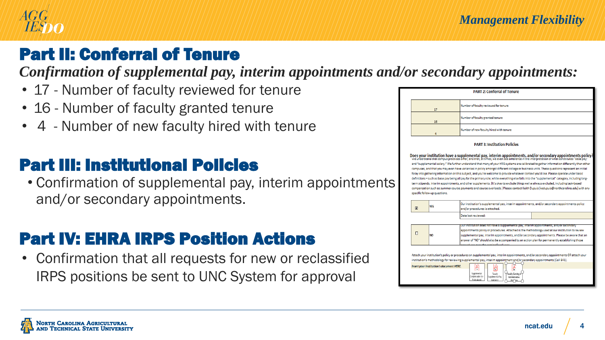

# Part II: Conferral of Tenure

*Confirmation of supplemental pay, interim appointments and/or secondary appointments:*

- 17 Number of faculty reviewed for tenure
- 16 Number of faculty granted tenure
- 4 Number of new faculty hired with tenure

#### Part III: Institutional Policies

• Confirmation of supplemental pay, interim appointments and/or secondary appointments.

# Part IV: EHRA IRPS Position Actions

• Confirmation that all requests for new or reclassified IRPS positions be sent to UNC System for approval



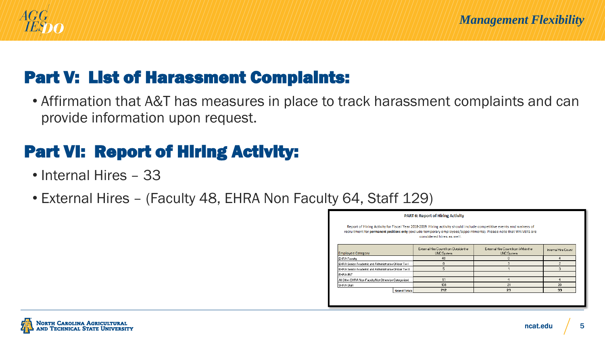

#### Part V: List of Harassment Complaints:

• Affirmation that A&T has measures in place to track harassment complaints and can provide information upon request.

# Part VI: Report of Hiring Activity:

- Internal Hires 33
- External Hires (Faculty 48, EHRA Non Faculty 64, Staff 129)

| <b>PART 6: Report of Hiring Activity</b>                                                                                                                                                                                                                                |                     |                                                           |                                                          |                     |  |  |
|-------------------------------------------------------------------------------------------------------------------------------------------------------------------------------------------------------------------------------------------------------------------------|---------------------|-----------------------------------------------------------|----------------------------------------------------------|---------------------|--|--|
| Report of Hiring Activity for Fiscal Year 2018-2019. Hiring activity should include competitive events and waivers of<br>recruitment for permanent positions only (exclude temporary employees/appointments). Please note that WAIVERS are<br>considered hires as well. |                     |                                                           |                                                          |                     |  |  |
| <b>Employee Category</b>                                                                                                                                                                                                                                                |                     | External Hire Count from Outside the<br><b>UNC</b> System | External Hire Count from Within the<br><b>UNC</b> System | Internal Hire Count |  |  |
| EHRA Faculty                                                                                                                                                                                                                                                            |                     | 48                                                        | 0                                                        |                     |  |  |
| EHRA Senior Academic and Administrative Officer Tier I                                                                                                                                                                                                                  |                     | 0                                                         | 3                                                        |                     |  |  |
| EHRA Senior Academic and Administrative Officer Tier II                                                                                                                                                                                                                 |                     | 5.                                                        |                                                          | з                   |  |  |
| <b>EHRAIRIT</b>                                                                                                                                                                                                                                                         |                     |                                                           |                                                          |                     |  |  |
| All Other EHRA Non-Faculty Not Otherwise Categorized                                                                                                                                                                                                                    |                     | 51                                                        | 4                                                        |                     |  |  |
| SHRA Staff                                                                                                                                                                                                                                                              |                     | 108                                                       | 21                                                       | 20                  |  |  |
|                                                                                                                                                                                                                                                                         | <b>Grand Totals</b> | 212                                                       | 29                                                       | 33                  |  |  |